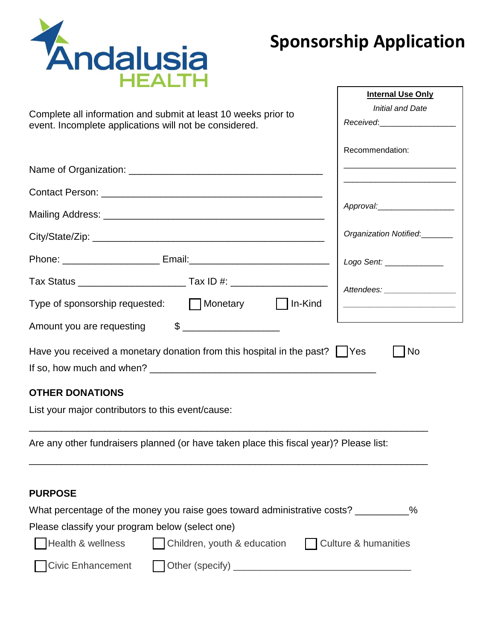

## **Sponsorship Application**

|                                                                                                                          | <b>Internal Use Only</b>                                 |
|--------------------------------------------------------------------------------------------------------------------------|----------------------------------------------------------|
| Complete all information and submit at least 10 weeks prior to<br>event. Incomplete applications will not be considered. | <b>Initial and Date</b><br>Received:____________________ |
|                                                                                                                          | Recommendation:                                          |
|                                                                                                                          |                                                          |
|                                                                                                                          |                                                          |
|                                                                                                                          | Approval:                                                |
|                                                                                                                          | Organization Notified:_______                            |
|                                                                                                                          | Logo Sent: ______________                                |
|                                                                                                                          | Attendees: __________________                            |
| Type of sponsorship requested: Monetary 1n-Kind                                                                          |                                                          |
| Amount you are requesting                                                                                                |                                                          |
| Have you received a monetary donation from this hospital in the past?       Yes                                          | No                                                       |
|                                                                                                                          |                                                          |
| <b>OTHER DONATIONS</b>                                                                                                   |                                                          |
| List your major contributors to this event/cause:                                                                        |                                                          |
| Are any other fundraisers planned (or have taken place this fiscal year)? Please list:                                   |                                                          |
| <b>PURPOSE</b>                                                                                                           |                                                          |
| What percentage of the money you raise goes toward administrative costs? _________%                                      |                                                          |
| Please classify your program below (select one)                                                                          |                                                          |
| Health & wellness<br>Children, youth & education                                                                         | <b>Culture &amp; humanities</b>                          |
| <b>Civic Enhancement</b>                                                                                                 |                                                          |